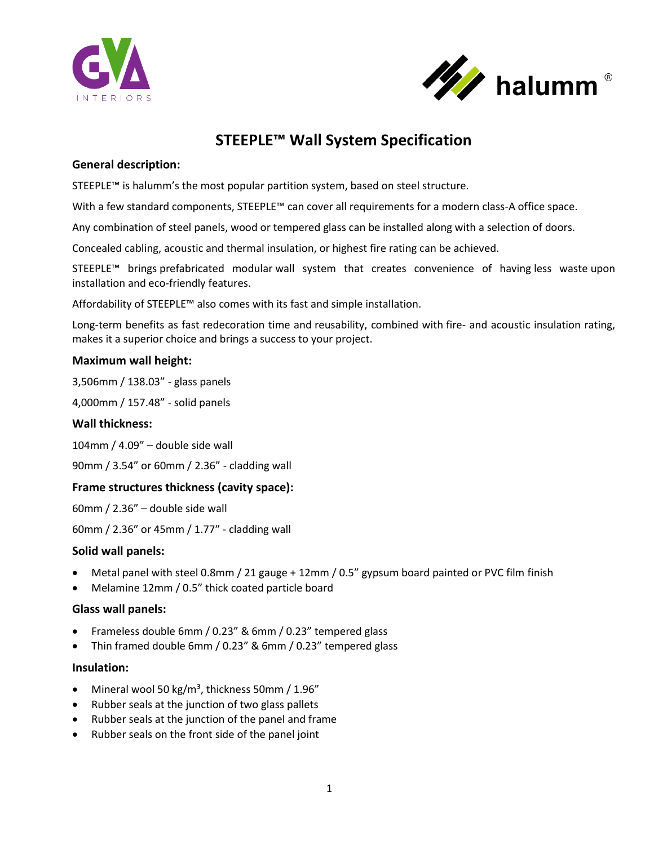



# **STEEPLE™ Wall System Specification**

## **General description:**

STEEPLE™ is halumm's the most popular partition system, based on steel structure.

With a few standard components, STEEPLE™ can cover all requirements for a modern class-A office space.

Any combination of steel panels, wood or tempered glass can be installed along with a selection of doors.

Concealed cabling, acoustic and thermal insulation, or highest fire rating can be achieved.

STEEPLE™ brings prefabricated modular wall system that creates convenience of having less waste upon installation and eco-friendly features.

Affordability of STEEPLE™ also comes with its fast and simple installation.

Long-term benefits as fast redecoration time and reusability, combined with fire- and acoustic insulation rating, makes it a superior choice and brings a success to your project.

## **Maximum wall height:**

3,506mm / 138.03" - glass panels

4,000mm / 157.48" - solid panels

## **Wall thickness:**

104mm / 4.09" – double side wall

90mm / 3.54" or 60mm / 2.36" - cladding wall

# **Frame structures thickness (cavity space):**

60mm / 2.36" – double side wall

60mm / 2.36″ or 45mm / 1.77″ - cladding wall

## **Solid wall panels:**

- Metal panel with steel 0.8mm / 21 gauge + 12mm / 0.5" gypsum board painted or PVC film finish
- Melamine 12mm / 0.5" thick coated particle board

## **Glass wall panels:**

- Frameless double 6mm / 0.23" & 6mm / 0.23" tempered glass
- Thin framed double 6mm / 0.23" & 6mm / 0.23" tempered glass

## **Insulation:**

- Mineral wool 50 kg/m<sup>3</sup>, thickness 50mm / 1.96"
- Rubber seals at the junction of two glass pallets
- Rubber seals at the junction of the panel and frame
- Rubber seals on the front side of the panel joint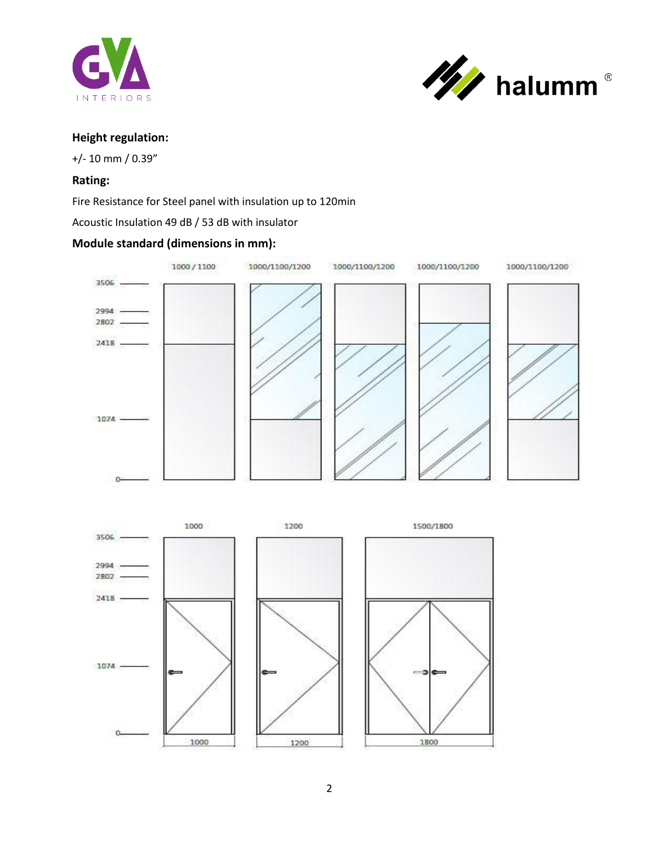



# **Height regulation:**

+/- 10 mm / 0.39"

## **Rating:**

Fire Resistance for Steel panel with insulation up to 120min

Acoustic Insulation 49 dB / 53 dB with insulator

# **Module standard (dimensions in mm):**



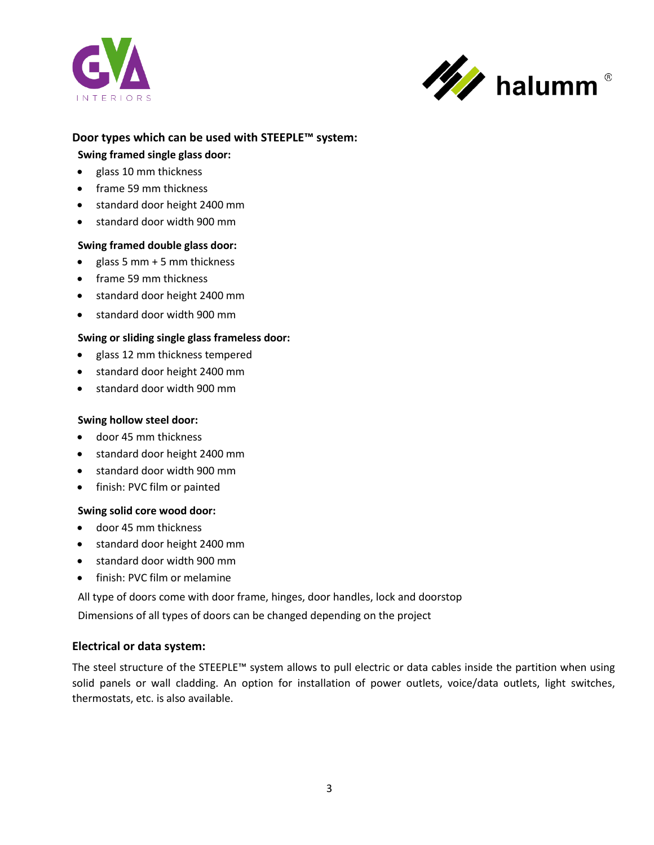



## **Door types which can be used with STEEPLE™ system:**

## **Swing framed single glass door:**

- glass 10 mm thickness •
- frame 59 mm thickness •
- standard door height 2400 mm
- standard door width 900 mm

## **Swing framed double glass door:**

- glass 5 mm + 5 mm thickness
- frame 59 mm thickness
- standard door height 2400 mm
- standard door width 900 mm

## **Swing or sliding single glass frameless door:**

- glass 12 mm thickness tempered
- standard door height 2400 mm
- standard door width 900 mm

## **Swing hollow steel door:**

- door 45 mm thickness
- standard door height 2400 mm
- standard door width 900 mm
- finish: PVC film or painted

## **Swing solid core wood door:**

- door 45 mm thickness •
- standard door height 2400 mm
- standard door width 900 mm
- finish: PVC film or melamine

All type of doors come with door frame, hinges, door handles, lock and doorstop

Dimensions of all types of doors can be changed depending on the project

# **Electrical or data system:**

The steel structure of the STEEPLE™ system allows to pull electric or data cables inside the partition when using solid panels or wall cladding. An option for installation of power outlets, voice/data outlets, light switches, thermostats, etc. is also available.